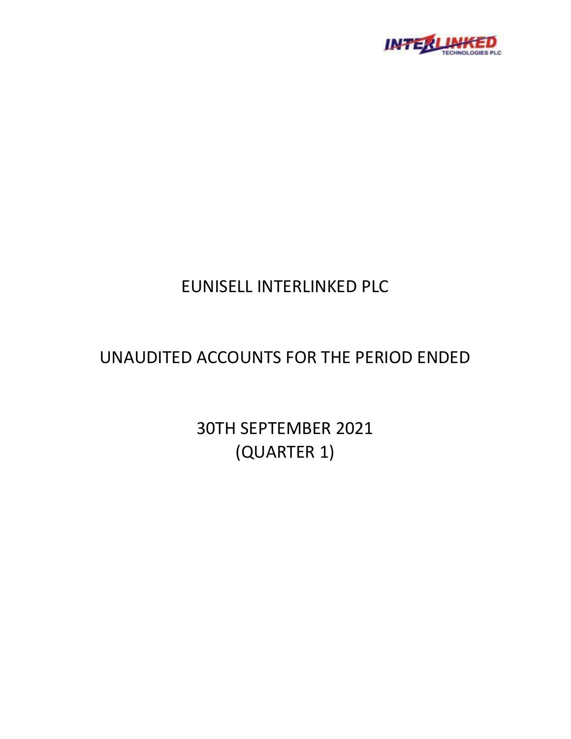

# EUNISELL INTERLINKED PLC

# UNAUDITED ACCOUNTS FOR THE PERIOD ENDED

30TH SEPTEMBER 2021 (QUARTER 1)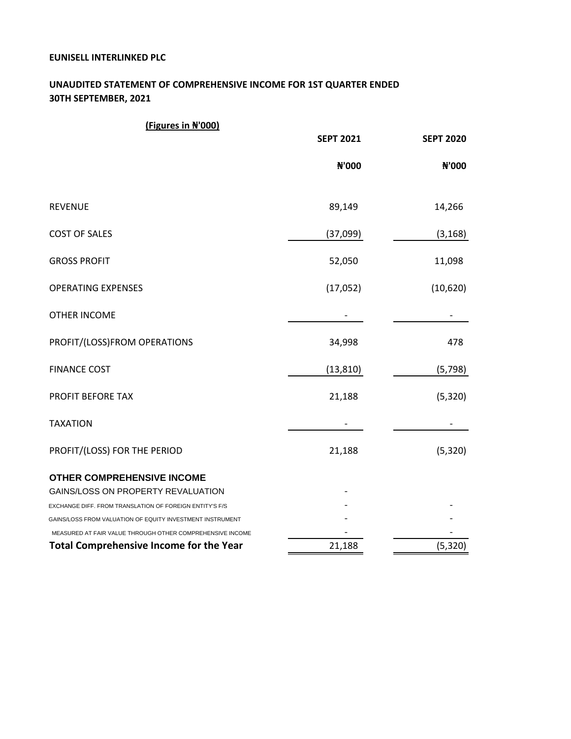## **EUNISELL INTERLINKED PLC**

# **UNAUDITED STATEMENT OF COMPREHENSIVE INCOME FOR 1ST QUARTER ENDED 30TH SEPTEMBER, 2021**

| (Figures in N'000)                                        |                  |                  |
|-----------------------------------------------------------|------------------|------------------|
|                                                           | <b>SEPT 2021</b> | <b>SEPT 2020</b> |
|                                                           | N'000            | N'000            |
| <b>REVENUE</b>                                            | 89,149           | 14,266           |
| <b>COST OF SALES</b>                                      | (37,099)         | (3, 168)         |
| <b>GROSS PROFIT</b>                                       | 52,050           | 11,098           |
| <b>OPERATING EXPENSES</b>                                 | (17,052)         | (10,620)         |
| <b>OTHER INCOME</b>                                       |                  |                  |
| PROFIT/(LOSS)FROM OPERATIONS                              | 34,998           | 478              |
| <b>FINANCE COST</b>                                       | (13, 810)        | (5, 798)         |
| PROFIT BEFORE TAX                                         | 21,188           | (5, 320)         |
| <b>TAXATION</b>                                           |                  |                  |
| PROFIT/(LOSS) FOR THE PERIOD                              | 21,188           | (5, 320)         |
| OTHER COMPREHENSIVE INCOME                                |                  |                  |
| GAINS/LOSS ON PROPERTY REVALUATION                        |                  |                  |
| EXCHANGE DIFF. FROM TRANSLATION OF FOREIGN ENTITY'S F/S   |                  |                  |
| GAINS/LOSS FROM VALUATION OF EQUITY INVESTMENT INSTRUMENT |                  |                  |
| MEASURED AT FAIR VALUE THROUGH OTHER COMPREHENSIVE INCOME |                  |                  |
| <b>Total Comprehensive Income for the Year</b>            | 21,188           | (5, 320)         |
|                                                           |                  |                  |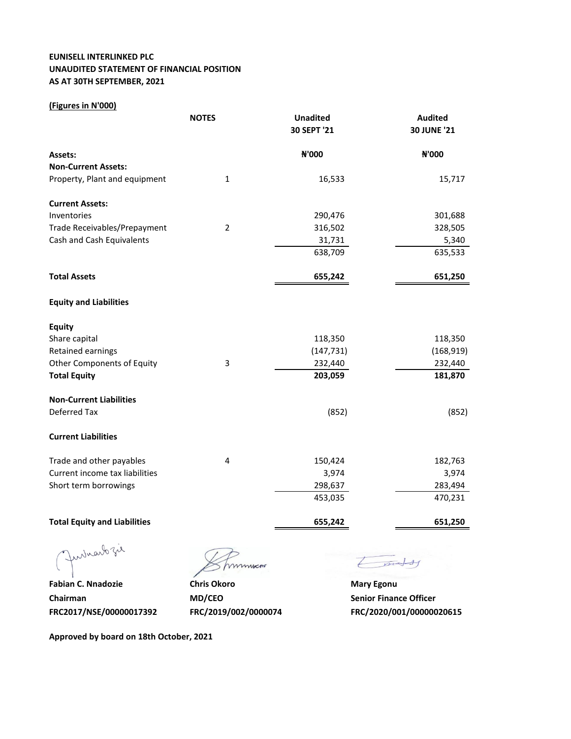## **EUNISELL INTERLINKED PLC UNAUDITED STATEMENT OF FINANCIAL POSITION AS AT 30TH SEPTEMBER, 2021**

## **(Figures in N'000)**

|                                     | <b>NOTES</b>   | <b>Unadited</b> | <b>Audited</b>     |
|-------------------------------------|----------------|-----------------|--------------------|
|                                     |                | 30 SEPT '21     | <b>30 JUNE '21</b> |
| <b>Assets:</b>                      |                | N'000           | N'000              |
| <b>Non-Current Assets:</b>          |                |                 |                    |
| Property, Plant and equipment       | $\mathbf{1}$   | 16,533          | 15,717             |
| <b>Current Assets:</b>              |                |                 |                    |
| Inventories                         |                | 290,476         | 301,688            |
| Trade Receivables/Prepayment        | $\overline{2}$ | 316,502         | 328,505            |
| Cash and Cash Equivalents           |                | 31,731          | 5,340              |
|                                     |                | 638,709         | 635,533            |
| <b>Total Assets</b>                 |                | 655,242         | 651,250            |
| <b>Equity and Liabilities</b>       |                |                 |                    |
| <b>Equity</b>                       |                |                 |                    |
| Share capital                       |                | 118,350         | 118,350            |
| Retained earnings                   |                | (147, 731)      | (168, 919)         |
| Other Components of Equity          | 3              | 232,440         | 232,440            |
| <b>Total Equity</b>                 |                | 203,059         | 181,870            |
| <b>Non-Current Liabilities</b>      |                |                 |                    |
| Deferred Tax                        |                | (852)           | (852)              |
| <b>Current Liabilities</b>          |                |                 |                    |
| Trade and other payables            | 4              | 150,424         | 182,763            |
| Current income tax liabilities      |                | 3,974           | 3,974              |
| Short term borrowings               |                | 298,637         | 283,494            |
|                                     |                | 453,035         | 470,231            |
| <b>Total Equity and Liabilities</b> |                | 655,242         | 651,250            |
|                                     |                |                 |                    |

Jurisabzie

**Fabian C. Nnadozie <b>Chris Okoro Chris Okoro Mary Egonu Chairman MD/CEO Senior Finance Officer** 

mmmen

tonety

**FRC2017/NSE/00000017392 FRC/2019/002/0000074 FRC/2020/001/00000020615**

**Approved by board on 18th October, 2021**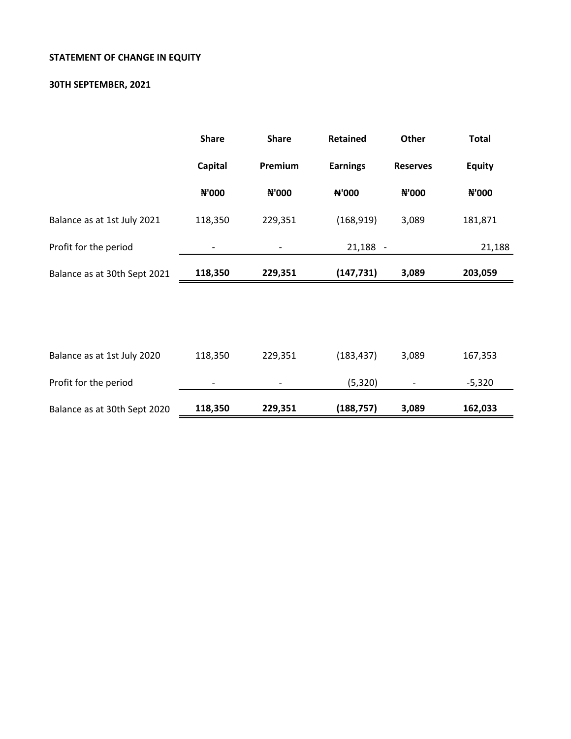# **STATEMENT OF CHANGE IN EQUITY**

## **30TH SEPTEMBER, 2021**

|                              | <b>Share</b> | <b>Share</b> | <b>Retained</b> | Other           | <b>Total</b>  |
|------------------------------|--------------|--------------|-----------------|-----------------|---------------|
|                              | Capital      | Premium      | <b>Earnings</b> | <b>Reserves</b> | <b>Equity</b> |
|                              | ₦'000        | ₦'000        | N'000           | <b>N'000</b>    | N'000         |
| Balance as at 1st July 2021  | 118,350      | 229,351      | (168, 919)      | 3,089           | 181,871       |
| Profit for the period        |              |              | $21,188 -$      |                 | 21,188        |
| Balance as at 30th Sept 2021 | 118,350      | 229,351      | (147, 731)      | 3,089           | 203,059       |
|                              |              |              |                 |                 |               |
|                              |              |              |                 |                 |               |
| Balance as at 1st July 2020  | 118,350      | 229,351      | (183, 437)      | 3,089           | 167,353       |
| Profit for the period        |              |              | (5, 320)        |                 | $-5,320$      |
| Balance as at 30th Sept 2020 | 118,350      | 229,351      | (188, 757)      | 3,089           | 162,033       |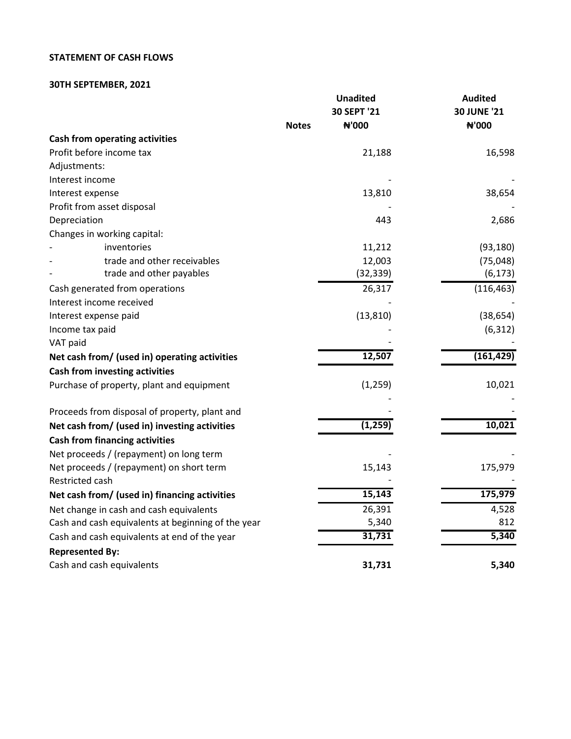## **STATEMENT OF CASH FLOWS**

## **30TH SEPTEMBER, 2021**

|                                                    | <b>Unadited</b>                      | <b>Audited</b>              |
|----------------------------------------------------|--------------------------------------|-----------------------------|
|                                                    | 30 SEPT '21<br>N'000<br><b>Notes</b> | <b>30 JUNE '21</b><br>N'000 |
| <b>Cash from operating activities</b>              |                                      |                             |
| Profit before income tax                           | 21,188                               | 16,598                      |
| Adjustments:                                       |                                      |                             |
| Interest income                                    |                                      |                             |
| Interest expense                                   | 13,810                               | 38,654                      |
| Profit from asset disposal                         |                                      |                             |
| Depreciation                                       | 443                                  | 2,686                       |
| Changes in working capital:                        |                                      |                             |
| inventories                                        | 11,212                               | (93, 180)                   |
| trade and other receivables                        | 12,003                               | (75, 048)                   |
| trade and other payables                           | (32, 339)                            | (6, 173)                    |
| Cash generated from operations                     | 26,317                               | (116, 463)                  |
| Interest income received                           |                                      |                             |
| Interest expense paid                              | (13, 810)                            | (38, 654)                   |
| Income tax paid                                    |                                      | (6, 312)                    |
| VAT paid                                           |                                      |                             |
| Net cash from/ (used in) operating activities      | 12,507                               | (161, 429)                  |
| <b>Cash from investing activities</b>              |                                      |                             |
| Purchase of property, plant and equipment          | (1, 259)                             | 10,021                      |
|                                                    |                                      |                             |
| Proceeds from disposal of property, plant and      |                                      |                             |
| Net cash from/ (used in) investing activities      | (1, 259)                             | 10,021                      |
| <b>Cash from financing activities</b>              |                                      |                             |
| Net proceeds / (repayment) on long term            |                                      |                             |
| Net proceeds / (repayment) on short term           | 15,143                               | 175,979                     |
| Restricted cash                                    |                                      |                             |
| Net cash from/ (used in) financing activities      | 15,143                               | 175,979                     |
| Net change in cash and cash equivalents            | 26,391                               | 4,528                       |
| Cash and cash equivalents at beginning of the year | 5,340                                | 812                         |
| Cash and cash equivalents at end of the year       | 31,731                               | 5,340                       |
| <b>Represented By:</b>                             |                                      |                             |
| Cash and cash equivalents                          | 31,731                               | 5,340                       |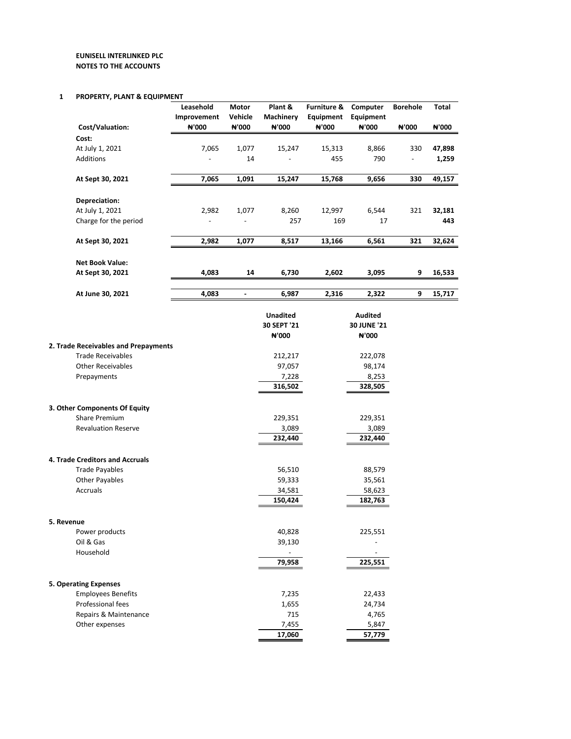#### **1 PROPERTY, PLANT & EQUIPMENT**

|            | ו ווטר בוזוו, רבאוזו שבעטורוי        |                          |                          |                 |                        |                    |                          |        |
|------------|--------------------------------------|--------------------------|--------------------------|-----------------|------------------------|--------------------|--------------------------|--------|
|            |                                      | Leasehold                | Motor                    | Plant &         | <b>Furniture &amp;</b> | Computer           | <b>Borehole</b>          | Total  |
|            |                                      | Improvement              | Vehicle                  | Machinery       | Equipment              | Equipment          |                          |        |
|            | Cost/Valuation:                      | ₦'000                    | ₦'000                    | ₦'000           | ₦'000                  | ₦'000              | ₦'000                    | ₦'000  |
|            | Cost:                                |                          |                          |                 |                        |                    |                          |        |
|            | At July 1, 2021                      | 7,065                    | 1,077                    | 15,247          | 15,313                 | 8,866              | 330                      | 47,898 |
|            | <b>Additions</b>                     | $\overline{\phantom{a}}$ | 14                       | $\overline{a}$  | 455                    | 790                | $\overline{\phantom{a}}$ | 1,259  |
|            | At Sept 30, 2021                     | 7,065                    | 1,091                    | 15,247          | 15,768                 | 9,656              | 330                      | 49,157 |
|            |                                      |                          |                          |                 |                        |                    |                          |        |
|            | Depreciation:                        |                          |                          |                 |                        |                    |                          |        |
|            | At July 1, 2021                      | 2,982                    | 1,077                    | 8,260           | 12,997                 | 6,544              | 321                      | 32,181 |
|            | Charge for the period                |                          |                          | 257             | 169                    | 17                 |                          | 443    |
|            | At Sept 30, 2021                     | 2,982                    | 1,077                    | 8,517           | 13,166                 | 6,561              | 321                      | 32,624 |
|            | <b>Net Book Value:</b>               |                          |                          |                 |                        |                    |                          |        |
|            | At Sept 30, 2021                     | 4,083                    | 14                       | 6,730           | 2,602                  | 3,095              | 9                        | 16,533 |
|            |                                      |                          |                          |                 |                        |                    |                          |        |
|            | At June 30, 2021                     | 4,083                    | $\overline{\phantom{a}}$ | 6,987           | 2,316                  | 2,322              | 9                        | 15,717 |
|            |                                      |                          |                          | <b>Unadited</b> |                        | Audited            |                          |        |
|            |                                      |                          |                          | 30 SEPT '21     |                        | <b>30 JUNE '21</b> |                          |        |
|            |                                      |                          |                          | ₦'000           |                        | ₦'000              |                          |        |
|            | 2. Trade Receivables and Prepayments |                          |                          |                 |                        |                    |                          |        |
|            | <b>Trade Receivables</b>             |                          |                          | 212,217         |                        | 222,078            |                          |        |
|            | <b>Other Receivables</b>             |                          |                          | 97,057          |                        | 98,174             |                          |        |
|            | Prepayments                          |                          |                          | 7,228           |                        | 8,253              |                          |        |
|            |                                      |                          |                          | 316,502         |                        | 328,505            |                          |        |
|            | 3. Other Components Of Equity        |                          |                          |                 |                        |                    |                          |        |
|            | <b>Share Premium</b>                 |                          |                          | 229,351         |                        | 229,351            |                          |        |
|            | <b>Revaluation Reserve</b>           |                          |                          | 3,089           |                        | 3,089              |                          |        |
|            |                                      |                          |                          | 232,440         |                        | 232,440            |                          |        |
|            |                                      |                          |                          |                 |                        |                    |                          |        |
|            | 4. Trade Creditors and Accruals      |                          |                          |                 |                        |                    |                          |        |
|            | <b>Trade Payables</b>                |                          |                          | 56,510          |                        | 88,579             |                          |        |
|            | <b>Other Payables</b>                |                          |                          | 59,333          |                        | 35,561             |                          |        |
|            | Accruals                             |                          |                          | 34,581          |                        | 58,623             |                          |        |
|            |                                      |                          |                          | 150,424         |                        | 182,763            |                          |        |
| 5. Revenue |                                      |                          |                          |                 |                        |                    |                          |        |
|            | Power products                       |                          |                          | 40,828          |                        | 225,551            |                          |        |
|            | Oil & Gas                            |                          |                          | 39,130          |                        |                    |                          |        |
|            | Household                            |                          |                          |                 |                        |                    |                          |        |
|            |                                      |                          |                          | 79,958          |                        | 225,551            |                          |        |
|            | <b>5. Operating Expenses</b>         |                          |                          |                 |                        |                    |                          |        |
|            | <b>Employees Benefits</b>            |                          |                          | 7,235           |                        | 22,433             |                          |        |
|            | Professional fees                    |                          |                          | 1,655           |                        | 24,734             |                          |        |
|            | Repairs & Maintenance                |                          |                          | 715             |                        | 4,765              |                          |        |
|            | Other expenses                       |                          |                          | 7,455           |                        | 5,847              |                          |        |
|            |                                      |                          |                          | 17,060          |                        | 57,779             |                          |        |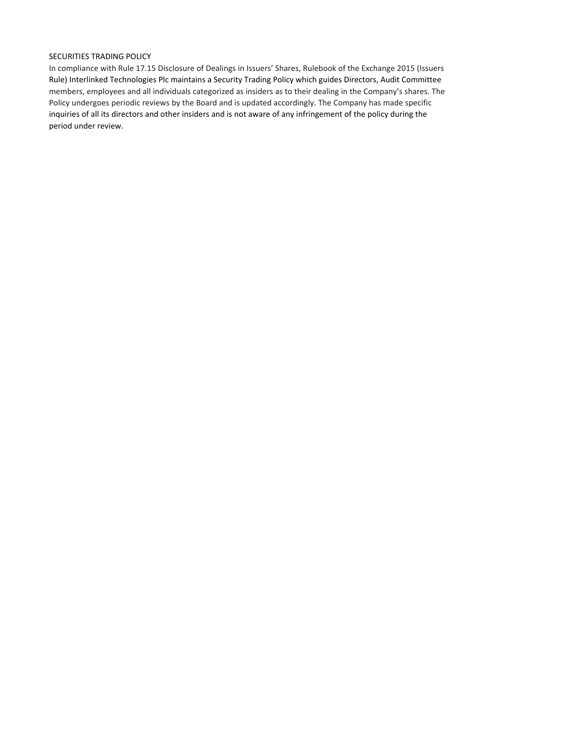### SECURITIES TRADING POLICY

In compliance with Rule 17.15 Disclosure of Dealings in Issuers' Shares, Rulebook of the Exchange 2015 (Issuers Rule) Interlinked Technologies Plc maintains a Security Trading Policy which guides Directors, Audit Committee members, employees and all individuals categorized as insiders as to their dealing in the Company's shares. The Policy undergoes periodic reviews by the Board and is updated accordingly. The Company has made specific inquiries of all its directors and other insiders and is not aware of any infringement of the policy during the period under review.